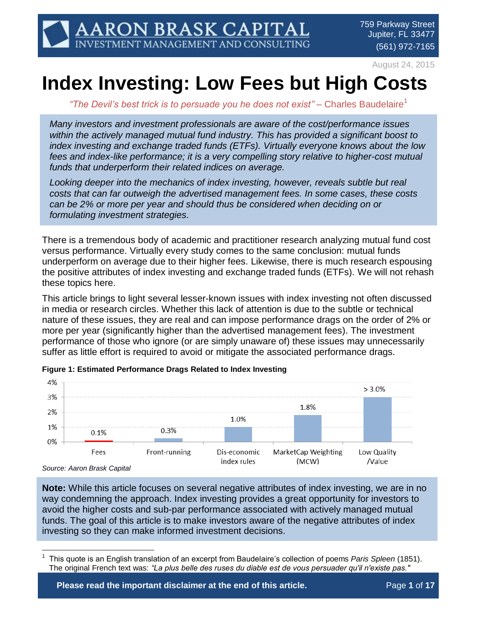August 24, 2015

# **Index Investing: Low Fees but High Costs**

"The Devil's best trick is to persuade you he does not exist" – Charles Baudelaire<sup>1</sup>

*Many investors and investment professionals are aware of the cost/performance issues within the actively managed mutual fund industry. This has provided a significant boost to index investing and exchange traded funds (ETFs). Virtually everyone knows about the low fees and index-like performance; it is a very compelling story relative to higher-cost mutual funds that underperform their related indices on average.*

*Looking deeper into the mechanics of index investing, however, reveals subtle but real costs that can far outweigh the advertised management fees. In some cases, these costs can be 2% or more per year and should thus be considered when deciding on or formulating investment strategies.*

There is a tremendous body of academic and practitioner research analyzing mutual fund cost versus performance. Virtually every study comes to the same conclusion: mutual funds underperform on average due to their higher fees. Likewise, there is much research espousing the positive attributes of index investing and exchange traded funds (ETFs). We will not rehash these topics here.

This article brings to light several lesser-known issues with index investing not often discussed in media or research circles. Whether this lack of attention is due to the subtle or technical nature of these issues, they are real and can impose performance drags on the order of 2% or more per year (significantly higher than the advertised management fees). The investment performance of those who ignore (or are simply unaware of) these issues may unnecessarily suffer as little effort is required to avoid or mitigate the associated performance drags.



**Figure 1: Estimated Performance Drags Related to Index Investing**

*Source: Aaron Brask Capital*

**Note:** While this article focuses on several negative attributes of index investing, we are in no way condemning the approach. Index investing provides a great opportunity for investors to avoid the higher costs and sub-par performance associated with actively managed mutual funds. The goal of this article is to make investors aware of the negative attributes of index investing so they can make informed investment decisions.

 $\overline{a}$ 1 This quote is an English translation of an excerpt from Baudelaire's collection of poems *Paris Spleen* (1851). The original French text was: *"La plus belle des ruses du diable est de vous persuader qu'il n'existe pas."*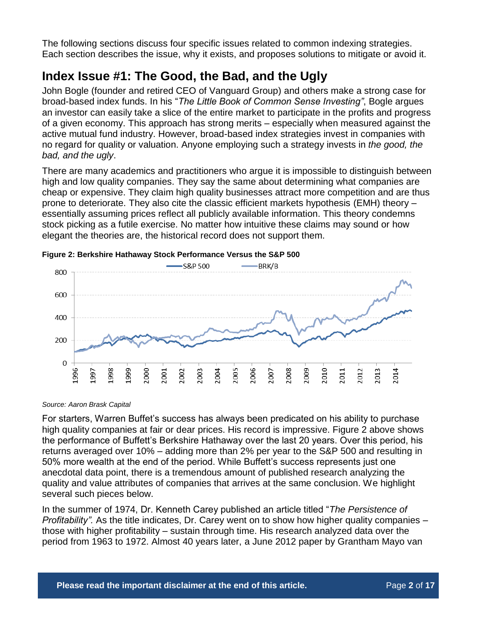The following sections discuss four specific issues related to common indexing strategies. Each section describes the issue, why it exists, and proposes solutions to mitigate or avoid it.

# **Index Issue #1: The Good, the Bad, and the Ugly**

John Bogle (founder and retired CEO of Vanguard Group) and others make a strong case for broad-based index funds. In his "*The Little Book of Common Sense Investing"*, Bogle argues an investor can easily take a slice of the entire market to participate in the profits and progress of a given economy. This approach has strong merits – especially when measured against the active mutual fund industry. However, broad-based index strategies invest in companies with no regard for quality or valuation. Anyone employing such a strategy invests in *the good, the bad, and the ugly*.

There are many academics and practitioners who argue it is impossible to distinguish between high and low quality companies. They say the same about determining what companies are cheap or expensive. They claim high quality businesses attract more competition and are thus prone to deteriorate. They also cite the classic efficient markets hypothesis (EMH) theory – essentially assuming prices reflect all publicly available information. This theory condemns stock picking as a futile exercise. No matter how intuitive these claims may sound or how elegant the theories are, the historical record does not support them.



<span id="page-1-0"></span>**Figure 2: Berkshire Hathaway Stock Performance Versus the S&P 500**

*Source: Aaron Brask Capital*

For starters, Warren Buffet's success has always been predicated on his ability to purchase high quality companies at fair or dear prices. His record is impressive. [Figure 2](#page-1-0) above shows the performance of Buffett's Berkshire Hathaway over the last 20 years. Over this period, his returns averaged over 10% – adding more than 2% per year to the S&P 500 and resulting in 50% more wealth at the end of the period. While Buffett's success represents just one anecdotal data point, there is a tremendous amount of published research analyzing the quality and value attributes of companies that arrives at the same conclusion. We highlight several such pieces below.

In the summer of 1974, Dr. Kenneth Carey published an article titled "*The Persistence of Profitability".* As the title indicates, Dr. Carey went on to show how higher quality companies – those with higher profitability – sustain through time. His research analyzed data over the period from 1963 to 1972. Almost 40 years later, a June 2012 paper by Grantham Mayo van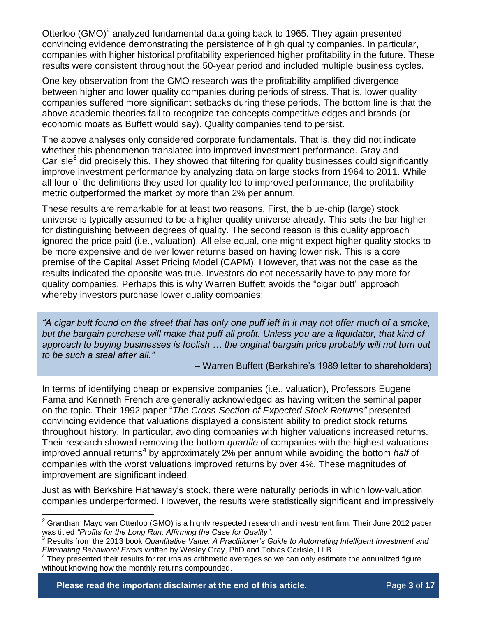Otterloo (GMO)<sup>2</sup> analyzed fundamental data going back to 1965. They again presented convincing evidence demonstrating the persistence of high quality companies. In particular, companies with higher historical profitability experienced higher profitability in the future. These results were consistent throughout the 50-year period and included multiple business cycles.

One key observation from the GMO research was the profitability amplified divergence between higher and lower quality companies during periods of stress. That is, lower quality companies suffered more significant setbacks during these periods. The bottom line is that the above academic theories fail to recognize the concepts competitive edges and brands (or economic moats as Buffett would say). Quality companies tend to persist.

The above analyses only considered corporate fundamentals. That is, they did not indicate whether this phenomenon translated into improved investment performance. Gray and Carlisle $3$  did precisely this. They showed that filtering for quality businesses could significantly improve investment performance by analyzing data on large stocks from 1964 to 2011. While all four of the definitions they used for quality led to improved performance, the profitability metric outperformed the market by more than 2% per annum.

These results are remarkable for at least two reasons. First, the blue-chip (large) stock universe is typically assumed to be a higher quality universe already. This sets the bar higher for distinguishing between degrees of quality. The second reason is this quality approach ignored the price paid (i.e., valuation). All else equal, one might expect higher quality stocks to be more expensive and deliver lower returns based on having lower risk. This is a core premise of the Capital Asset Pricing Model (CAPM). However, that was not the case as the results indicated the opposite was true. Investors do not necessarily have to pay more for quality companies. Perhaps this is why Warren Buffett avoids the "cigar butt" approach whereby investors purchase lower quality companies:

*"A cigar butt found on the street that has only one puff left in it may not offer much of a smoke,*  but the bargain purchase will make that puff all profit. Unless you are a liquidator, that kind of *approach to buying businesses is foolish … the original bargain price probably will not turn out to be such a steal after all."*

– Warren Buffett (Berkshire's 1989 letter to shareholders)

In terms of identifying cheap or expensive companies (i.e., valuation), Professors Eugene Fama and Kenneth French are generally acknowledged as having written the seminal paper on the topic. Their 1992 paper "*The Cross-Section of Expected Stock Returns"* presented convincing evidence that valuations displayed a consistent ability to predict stock returns throughout history. In particular, avoiding companies with higher valuations increased returns. Their research showed removing the bottom *quartile* of companies with the highest valuations improved annual returns<sup>4</sup> by approximately 2% per annum while avoiding the bottom *half* of companies with the worst valuations improved returns by over 4%. These magnitudes of improvement are significant indeed.

Just as with Berkshire Hathaway's stock, there were naturally periods in which low-valuation companies underperformed. However, the results were statistically significant and impressively

 $\overline{a}$ 

 $2$  Grantham Mayo van Otterloo (GMO) is a highly respected research and investment firm. Their June 2012 paper was titled *"Profits for the Long Run: Affirming the Case for Quality"*.<br><sup>3</sup> Beaute from the 2012 book *Quantitative Volue: A Prostitioner's* C

<sup>3</sup> Results from the 2013 book *Quantitative Value: A Practitioner's Guide to Automating Intelligent Investment and Eliminating Behavioral Errors* written by Wesley Gray, PhD and Tobias Carlisle, LLB.

<sup>&</sup>lt;sup>4</sup> They presented their results for returns as arithmetic averages so we can only estimate the annualized figure without knowing how the monthly returns compounded.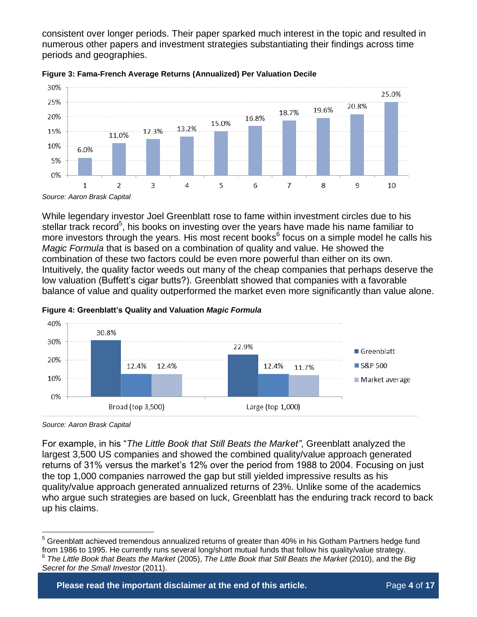consistent over longer periods. Their paper sparked much interest in the topic and resulted in numerous other papers and investment strategies substantiating their findings across time periods and geographies.





While legendary investor Joel Greenblatt rose to fame within investment circles due to his stellar track record<sup>5</sup>, his books on investing over the years have made his name familiar to more investors through the years. His most recent books<sup>6</sup> focus on a simple model he calls his *Magic Formula* that is based on a combination of quality and value. He showed the combination of these two factors could be even more powerful than either on its own. Intuitively, the quality factor weeds out many of the cheap companies that perhaps deserve the low valuation (Buffett's cigar butts?). Greenblatt showed that companies with a favorable balance of value and quality outperformed the market even more significantly than value alone.





*Source: Aaron Brask Capital*

For example, in his "*The Little Book that Still Beats the Market"*, Greenblatt analyzed the largest 3,500 US companies and showed the combined quality/value approach generated returns of 31% versus the market's 12% over the period from 1988 to 2004. Focusing on just the top 1,000 companies narrowed the gap but still yielded impressive results as his quality/value approach generated annualized returns of 23%. Unlike some of the academics who argue such strategies are based on luck, Greenblatt has the enduring track record to back up his claims.

 $\overline{a}$ <sup>5</sup> Greenblatt achieved tremendous annualized returns of greater than 40% in his Gotham Partners hedge fund from 1986 to 1995. He currently runs several long/short mutual funds that follow his quality/value strategy. 6 *The Little Book that Beats the Market* (2005), *The Little Book that Still Beats the Market* (2010), and the *Big Secret for the Small Investor* (2011).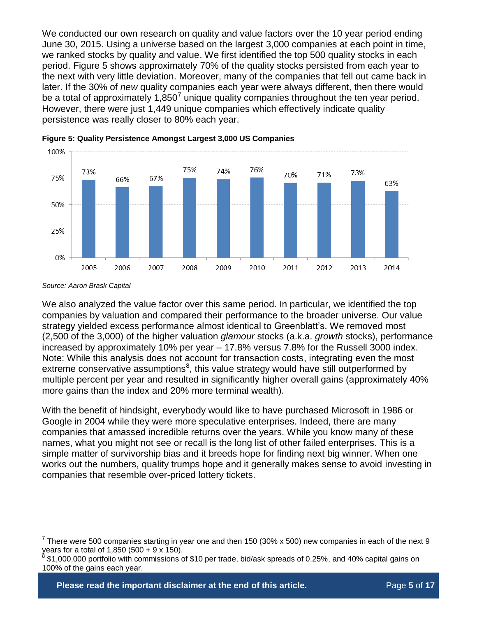We conducted our own research on quality and value factors over the 10 year period ending June 30, 2015. Using a universe based on the largest 3,000 companies at each point in time, we ranked stocks by quality and value. We first identified the top 500 quality stocks in each period. [Figure 5](#page-4-0) shows approximately 70% of the quality stocks persisted from each year to the next with very little deviation. Moreover, many of the companies that fell out came back in later. If the 30% of *new* quality companies each year were always different, then there would be a total of approximately 1,850<sup>7</sup> unique quality companies throughout the ten year period. However, there were just 1,449 unique companies which effectively indicate quality persistence was really closer to 80% each year.



<span id="page-4-0"></span>

 $\overline{a}$ 

We also analyzed the value factor over this same period. In particular, we identified the top companies by valuation and compared their performance to the broader universe. Our value strategy yielded excess performance almost identical to Greenblatt's. We removed most (2,500 of the 3,000) of the higher valuation *glamour* stocks (a.k.a. *growth* stocks), performance increased by approximately 10% per year – 17.8% versus 7.8% for the Russell 3000 index. Note: While this analysis does not account for transaction costs, integrating even the most extreme conservative assumptions $^8$ , this value strategy would have still outperformed by multiple percent per year and resulted in significantly higher overall gains (approximately 40% more gains than the index and 20% more terminal wealth).

With the benefit of hindsight, everybody would like to have purchased Microsoft in 1986 or Google in 2004 while they were more speculative enterprises. Indeed, there are many companies that amassed incredible returns over the years. While you know many of these names, what you might not see or recall is the long list of other failed enterprises. This is a simple matter of survivorship bias and it breeds hope for finding next big winner. When one works out the numbers, quality trumps hope and it generally makes sense to avoid investing in companies that resemble over-priced lottery tickets.

**Please read the important disclaimer at the end of this article. The Page 5 of 17** 

*Source: Aaron Brask Capital*

<sup>7</sup> There were 500 companies starting in year one and then 150 (30% x 500) new companies in each of the next 9 years for a total of 1,850 (500 + 9 x 150).<br><sup>8</sup> \$1,000,000 portfolio with commissions *s* 

<sup>\$1,000,000</sup> portfolio with commissions of \$10 per trade, bid/ask spreads of 0.25%, and 40% capital gains on 100% of the gains each year.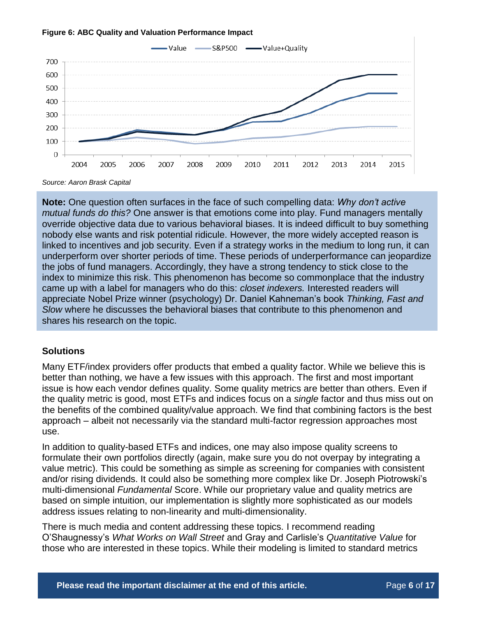

#### **Figure 6: ABC Quality and Valuation Performance Impact**

*Source: Aaron Brask Capital*

**Note:** One question often surfaces in the face of such compelling data: *Why don't active mutual funds do this?* One answer is that emotions come into play. Fund managers mentally override objective data due to various behavioral biases. It is indeed difficult to buy something nobody else wants and risk potential ridicule. However, the more widely accepted reason is linked to incentives and job security. Even if a strategy works in the medium to long run, it can underperform over shorter periods of time. These periods of underperformance can jeopardize the jobs of fund managers. Accordingly, they have a strong tendency to stick close to the index to minimize this risk. This phenomenon has become so commonplace that the industry came up with a label for managers who do this: *closet indexers.* Interested readers will appreciate Nobel Prize winner (psychology) Dr. Daniel Kahneman's book *Thinking, Fast and Slow* where he discusses the behavioral biases that contribute to this phenomenon and shares his research on the topic.

### **Solutions**

Many ETF/index providers offer products that embed a quality factor. While we believe this is better than nothing, we have a few issues with this approach. The first and most important issue is how each vendor defines quality. Some quality metrics are better than others. Even if the quality metric is good, most ETFs and indices focus on a *single* factor and thus miss out on the benefits of the combined quality/value approach. We find that combining factors is the best approach – albeit not necessarily via the standard multi-factor regression approaches most use.

In addition to quality-based ETFs and indices, one may also impose quality screens to formulate their own portfolios directly (again, make sure you do not overpay by integrating a value metric). This could be something as simple as screening for companies with consistent and/or rising dividends. It could also be something more complex like Dr. Joseph Piotrowski's multi-dimensional *Fundamental* Score. While our proprietary value and quality metrics are based on simple intuition, our implementation is slightly more sophisticated as our models address issues relating to non-linearity and multi-dimensionality.

There is much media and content addressing these topics. I recommend reading O'Shaugnessy's *What Works on Wall Street* and Gray and Carlisle's *Quantitative Value* for those who are interested in these topics. While their modeling is limited to standard metrics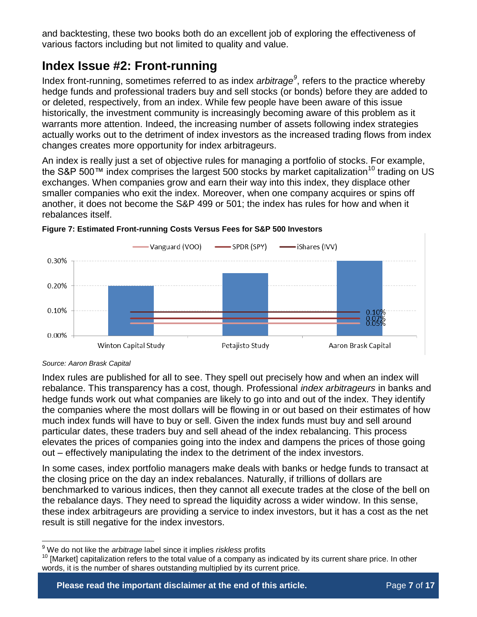and backtesting, these two books both do an excellent job of exploring the effectiveness of various factors including but not limited to quality and value.

# **Index Issue #2: Front-running**

Index front-running, sometimes referred to as index *arbitrage<sup>9</sup>* , refers to the practice whereby hedge funds and professional traders buy and sell stocks (or bonds) before they are added to or deleted, respectively, from an index. While few people have been aware of this issue historically, the investment community is increasingly becoming aware of this problem as it warrants more attention. Indeed, the increasing number of assets following index strategies actually works out to the detriment of index investors as the increased trading flows from index changes creates more opportunity for index arbitrageurs.

An index is really just a set of objective rules for managing a portfolio of stocks. For example, the S&P 500<sup>™</sup> index comprises the largest 500 stocks by market capitalization<sup>10</sup> trading on US exchanges. When companies grow and earn their way into this index, they displace other smaller companies who exit the index. Moreover, when one company acquires or spins off another, it does not become the S&P 499 or 501; the index has rules for how and when it rebalances itself.



### <span id="page-6-0"></span>**Figure 7: Estimated Front-running Costs Versus Fees for S&P 500 Investors**

 $\overline{a}$ 

Index rules are published for all to see. They spell out precisely how and when an index will rebalance. This transparency has a cost, though. Professional *index arbitrageurs* in banks and hedge funds work out what companies are likely to go into and out of the index. They identify the companies where the most dollars will be flowing in or out based on their estimates of how much index funds will have to buy or sell. Given the index funds must buy and sell around particular dates, these traders buy and sell ahead of the index rebalancing. This process elevates the prices of companies going into the index and dampens the prices of those going out – effectively manipulating the index to the detriment of the index investors.

In some cases, index portfolio managers make deals with banks or hedge funds to transact at the closing price on the day an index rebalances. Naturally, if trillions of dollars are benchmarked to various indices, then they cannot all execute trades at the close of the bell on the rebalance days. They need to spread the liquidity across a wider window. In this sense, these index arbitrageurs are providing a service to index investors, but it has a cost as the net result is still negative for the index investors.

*Source: Aaron Brask Capital*

<sup>9</sup> We do not like the *arbitrage* label since it implies *riskless* profits

<sup>&</sup>lt;sup>10</sup> [Market] capitalization refers to the total value of a company as indicated by its current share price. In other words, it is the number of shares outstanding multiplied by its current price.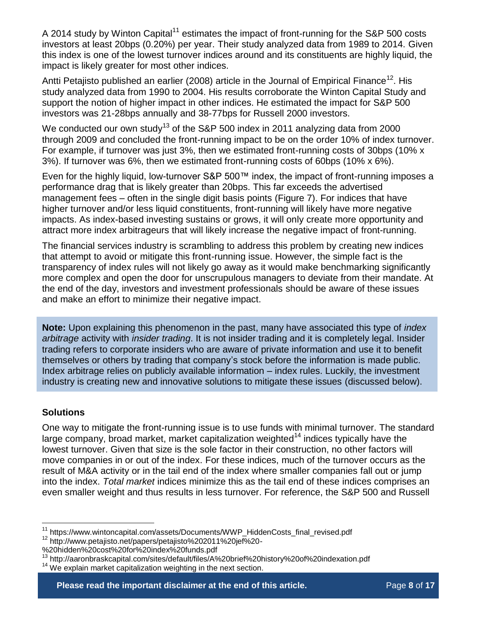A 2014 study by Winton Capital<sup>11</sup> estimates the impact of front-running for the S&P 500 costs investors at least 20bps (0.20%) per year. Their study analyzed data from 1989 to 2014. Given this index is one of the lowest turnover indices around and its constituents are highly liquid, the impact is likely greater for most other indices.

Antti Petajisto published an earlier (2008) article in the Journal of Empirical Finance<sup>12</sup>. His study analyzed data from 1990 to 2004. His results corroborate the Winton Capital Study and support the notion of higher impact in other indices. He estimated the impact for S&P 500 investors was 21-28bps annually and 38-77bps for Russell 2000 investors.

We conducted our own study<sup>13</sup> of the S&P 500 index in 2011 analyzing data from 2000 through 2009 and concluded the front-running impact to be on the order 10% of index turnover. For example, if turnover was just 3%, then we estimated front-running costs of 30bps (10% x 3%). If turnover was 6%, then we estimated front-running costs of 60bps (10% x 6%).

Even for the highly liquid, low-turnover S&P 500™ index, the impact of front-running imposes a performance drag that is likely greater than 20bps. This far exceeds the advertised management fees – often in the single digit basis points [\(Figure 7\)](#page-6-0). For indices that have higher turnover and/or less liquid constituents, front-running will likely have more negative impacts. As index-based investing sustains or grows, it will only create more opportunity and attract more index arbitrageurs that will likely increase the negative impact of front-running.

The financial services industry is scrambling to address this problem by creating new indices that attempt to avoid or mitigate this front-running issue. However, the simple fact is the transparency of index rules will not likely go away as it would make benchmarking significantly more complex and open the door for unscrupulous managers to deviate from their mandate. At the end of the day, investors and investment professionals should be aware of these issues and make an effort to minimize their negative impact.

**Note:** Upon explaining this phenomenon in the past, many have associated this type of *index arbitrage* activity with *insider trading*. It is not insider trading and it is completely legal. Insider trading refers to corporate insiders who are aware of private information and use it to benefit themselves or others by trading that company's stock before the information is made public. Index arbitrage relies on publicly available information – index rules. Luckily, the investment industry is creating new and innovative solutions to mitigate these issues (discussed below).

### **Solutions**

 $\overline{a}$ 

One way to mitigate the front-running issue is to use funds with minimal turnover. The standard large company, broad market, market capitalization weighted<sup>14</sup> indices typically have the lowest turnover. Given that size is the sole factor in their construction, no other factors will move companies in or out of the index. For these indices, much of the turnover occurs as the result of M&A activity or in the tail end of the index where smaller companies fall out or jump into the index. *Total market* indices minimize this as the tail end of these indices comprises an even smaller weight and thus results in less turnover. For reference, the S&P 500 and Russell

<sup>&</sup>lt;sup>11</sup> https://www.wintoncapital.com/assets/Documents/WWP\_HiddenCosts\_final\_revised.pdf

<sup>12</sup> http://www.petajisto.net/papers/petajisto%202011%20jef%20-

<sup>%20</sup>hidden%20cost%20for%20index%20funds.pdf

<sup>&</sup>lt;sup>13</sup> http://aaronbraskcapital.com/sites/default/files/A%20brief%20history%20of%20indexation.pdf

<sup>&</sup>lt;sup>14</sup> We explain market capitalization weighting in the next section.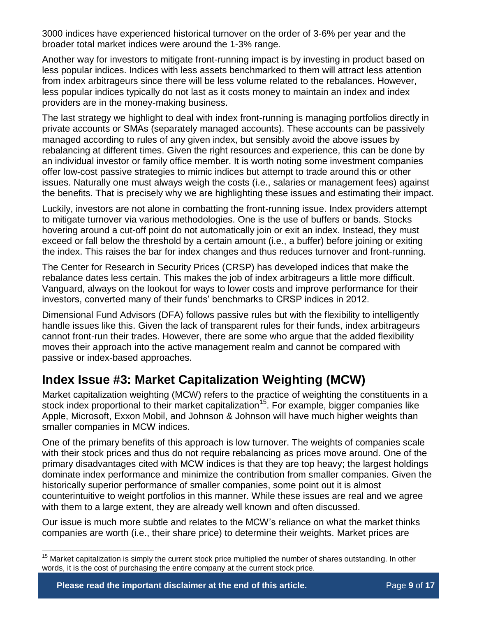3000 indices have experienced historical turnover on the order of 3-6% per year and the broader total market indices were around the 1-3% range.

Another way for investors to mitigate front-running impact is by investing in product based on less popular indices. Indices with less assets benchmarked to them will attract less attention from index arbitrageurs since there will be less volume related to the rebalances. However, less popular indices typically do not last as it costs money to maintain an index and index providers are in the money-making business.

The last strategy we highlight to deal with index front-running is managing portfolios directly in private accounts or SMAs (separately managed accounts). These accounts can be passively managed according to rules of any given index, but sensibly avoid the above issues by rebalancing at different times. Given the right resources and experience, this can be done by an individual investor or family office member. It is worth noting some investment companies offer low-cost passive strategies to mimic indices but attempt to trade around this or other issues. Naturally one must always weigh the costs (i.e., salaries or management fees) against the benefits. That is precisely why we are highlighting these issues and estimating their impact.

Luckily, investors are not alone in combatting the front-running issue. Index providers attempt to mitigate turnover via various methodologies. One is the use of buffers or bands. Stocks hovering around a cut-off point do not automatically join or exit an index. Instead, they must exceed or fall below the threshold by a certain amount (i.e., a buffer) before joining or exiting the index. This raises the bar for index changes and thus reduces turnover and front-running.

The Center for Research in Security Prices (CRSP) has developed indices that make the rebalance dates less certain. This makes the job of index arbitrageurs a little more difficult. Vanguard, always on the lookout for ways to lower costs and improve performance for their investors, converted many of their funds' benchmarks to CRSP indices in 2012.

Dimensional Fund Advisors (DFA) follows passive rules but with the flexibility to intelligently handle issues like this. Given the lack of transparent rules for their funds, index arbitrageurs cannot front-run their trades. However, there are some who argue that the added flexibility moves their approach into the active management realm and cannot be compared with passive or index-based approaches.

# **Index Issue #3: Market Capitalization Weighting (MCW)**

Market capitalization weighting (MCW) refers to the practice of weighting the constituents in a stock index proportional to their market capitalization<sup>15</sup>. For example, bigger companies like Apple, Microsoft, Exxon Mobil, and Johnson & Johnson will have much higher weights than smaller companies in MCW indices.

One of the primary benefits of this approach is low turnover. The weights of companies scale with their stock prices and thus do not require rebalancing as prices move around. One of the primary disadvantages cited with MCW indices is that they are top heavy; the largest holdings dominate index performance and minimize the contribution from smaller companies. Given the historically superior performance of smaller companies, some point out it is almost counterintuitive to weight portfolios in this manner. While these issues are real and we agree with them to a large extent, they are already well known and often discussed.

Our issue is much more subtle and relates to the MCW's reliance on what the market thinks companies are worth (i.e., their share price) to determine their weights. Market prices are

 $\overline{a}$ 

 $15$  Market capitalization is simply the current stock price multiplied the number of shares outstanding. In other words, it is the cost of purchasing the entire company at the current stock price.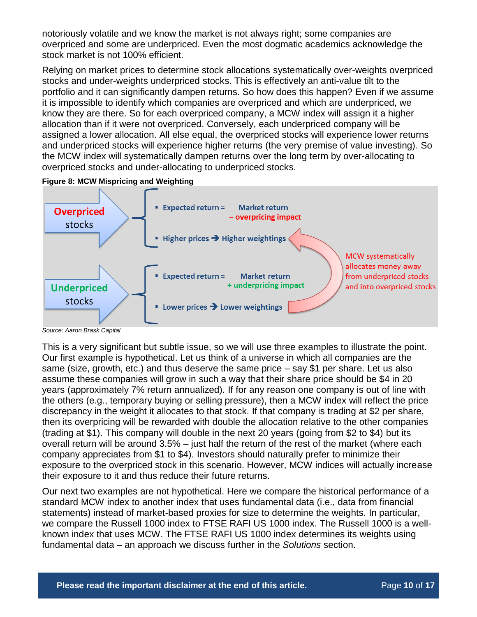notoriously volatile and we know the market is not always right; some companies are overpriced and some are underpriced. Even the most dogmatic academics acknowledge the stock market is not 100% efficient.

Relying on market prices to determine stock allocations systematically over-weights overpriced stocks and under-weights underpriced stocks. This is effectively an anti-value tilt to the portfolio and it can significantly dampen returns. So how does this happen? Even if we assume it is impossible to identify which companies are overpriced and which are underpriced, we know they are there. So for each overpriced company, a MCW index will assign it a higher allocation than if it were not overpriced. Conversely, each underpriced company will be assigned a lower allocation. All else equal, the overpriced stocks will experience lower returns and underpriced stocks will experience higher returns (the very premise of value investing). So the MCW index will systematically dampen returns over the long term by over-allocating to overpriced stocks and under-allocating to underpriced stocks.





*Source: Aaron Brask Capital*

This is a very significant but subtle issue, so we will use three examples to illustrate the point. Our first example is hypothetical. Let us think of a universe in which all companies are the same (size, growth, etc.) and thus deserve the same price – say \$1 per share. Let us also assume these companies will grow in such a way that their share price should be \$4 in 20 years (approximately 7% return annualized). If for any reason one company is out of line with the others (e.g., temporary buying or selling pressure), then a MCW index will reflect the price discrepancy in the weight it allocates to that stock. If that company is trading at \$2 per share, then its overpricing will be rewarded with double the allocation relative to the other companies (trading at \$1). This company will double in the next 20 years (going from \$2 to \$4) but its overall return will be around 3.5% – just half the return of the rest of the market (where each company appreciates from \$1 to \$4). Investors should naturally prefer to minimize their exposure to the overpriced stock in this scenario. However, MCW indices will actually increase their exposure to it and thus reduce their future returns.

Our next two examples are not hypothetical. Here we compare the historical performance of a standard MCW index to another index that uses fundamental data (i.e., data from financial statements) instead of market-based proxies for size to determine the weights. In particular, we compare the Russell 1000 index to FTSE RAFI US 1000 index. The Russell 1000 is a wellknown index that uses MCW. The FTSE RAFI US 1000 index determines its weights using fundamental data – an approach we discuss further in the *Solutions* section.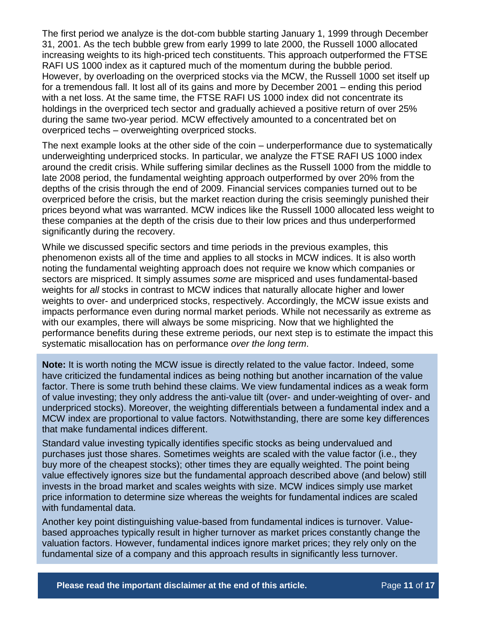The first period we analyze is the dot-com bubble starting January 1, 1999 through December 31, 2001. As the tech bubble grew from early 1999 to late 2000, the Russell 1000 allocated increasing weights to its high-priced tech constituents. This approach outperformed the FTSE RAFI US 1000 index as it captured much of the momentum during the bubble period. However, by overloading on the overpriced stocks via the MCW, the Russell 1000 set itself up for a tremendous fall. It lost all of its gains and more by December 2001 – ending this period with a net loss. At the same time, the FTSE RAFI US 1000 index did not concentrate its holdings in the overpriced tech sector and gradually achieved a positive return of over 25% during the same two-year period. MCW effectively amounted to a concentrated bet on overpriced techs – overweighting overpriced stocks.

The next example looks at the other side of the coin – underperformance due to systematically underweighting underpriced stocks. In particular, we analyze the FTSE RAFI US 1000 index around the credit crisis. While suffering similar declines as the Russell 1000 from the middle to late 2008 period, the fundamental weighting approach outperformed by over 20% from the depths of the crisis through the end of 2009. Financial services companies turned out to be overpriced before the crisis, but the market reaction during the crisis seemingly punished their prices beyond what was warranted. MCW indices like the Russell 1000 allocated less weight to these companies at the depth of the crisis due to their low prices and thus underperformed significantly during the recovery.

While we discussed specific sectors and time periods in the previous examples, this phenomenon exists all of the time and applies to all stocks in MCW indices. It is also worth noting the fundamental weighting approach does not require we know which companies or sectors are mispriced. It simply assumes *some* are mispriced and uses fundamental-based weights for *all* stocks in contrast to MCW indices that naturally allocate higher and lower weights to over- and underpriced stocks, respectively. Accordingly, the MCW issue exists and impacts performance even during normal market periods. While not necessarily as extreme as with our examples, there will always be some mispricing. Now that we highlighted the performance benefits during these extreme periods, our next step is to estimate the impact this systematic misallocation has on performance *over the long term*.

**Note:** It is worth noting the MCW issue is directly related to the value factor. Indeed, some have criticized the fundamental indices as being nothing but another incarnation of the value factor. There is some truth behind these claims. We view fundamental indices as a weak form of value investing; they only address the anti-value tilt (over- and under-weighting of over- and underpriced stocks). Moreover, the weighting differentials between a fundamental index and a MCW index are proportional to value factors. Notwithstanding, there are some key differences that make fundamental indices different.

Standard value investing typically identifies specific stocks as being undervalued and purchases just those shares. Sometimes weights are scaled with the value factor (i.e., they buy more of the cheapest stocks); other times they are equally weighted. The point being value effectively ignores size but the fundamental approach described above (and below) still invests in the broad market and scales weights with size. MCW indices simply use market price information to determine size whereas the weights for fundamental indices are scaled with fundamental data.

Another key point distinguishing value-based from fundamental indices is turnover. Valuebased approaches typically result in higher turnover as market prices constantly change the valuation factors. However, fundamental indices ignore market prices; they rely only on the fundamental size of a company and this approach results in significantly less turnover.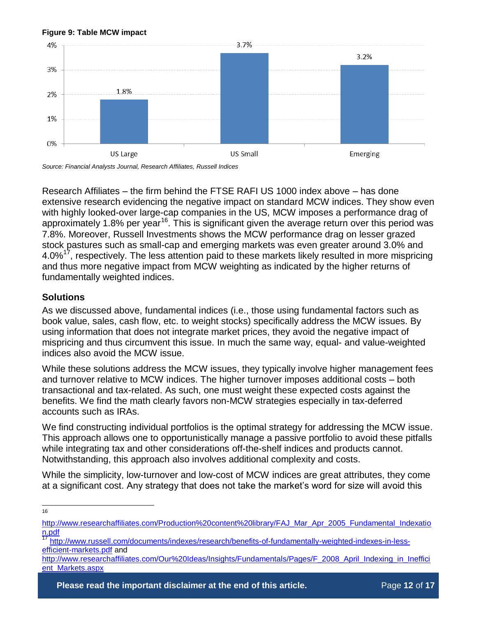#### **Figure 9: Table MCW impact**



*Source: Financial Analysts Journal, Research Affiliates, Russell Indices*

Research Affiliates – the firm behind the FTSE RAFI US 1000 index above – has done extensive research evidencing the negative impact on standard MCW indices. They show even with highly looked-over large-cap companies in the US, MCW imposes a performance drag of approximately 1.8% per year<sup>16</sup>. This is significant given the average return over this period was 7.8%. Moreover, Russell Investments shows the MCW performance drag on lesser grazed stock pastures such as small-cap and emerging markets was even greater around 3.0% and 4.0% $17$ , respectively. The less attention paid to these markets likely resulted in more mispricing and thus more negative impact from MCW weighting as indicated by the higher returns of fundamentally weighted indices.

### **Solutions**

As we discussed above, fundamental indices (i.e., those using fundamental factors such as book value, sales, cash flow, etc. to weight stocks) specifically address the MCW issues. By using information that does not integrate market prices, they avoid the negative impact of mispricing and thus circumvent this issue. In much the same way, equal- and value-weighted indices also avoid the MCW issue.

While these solutions address the MCW issues, they typically involve higher management fees and turnover relative to MCW indices. The higher turnover imposes additional costs – both transactional and tax-related. As such, one must weight these expected costs against the benefits. We find the math clearly favors non-MCW strategies especially in tax-deferred accounts such as IRAs.

We find constructing individual portfolios is the optimal strategy for addressing the MCW issue. This approach allows one to opportunistically manage a passive portfolio to avoid these pitfalls while integrating tax and other considerations off-the-shelf indices and products cannot. Notwithstanding, this approach also involves additional complexity and costs.

While the simplicity, low-turnover and low-cost of MCW indices are great attributes, they come at a significant cost. Any strategy that does not take the market's word for size will avoid this

 $\frac{1}{16}$ 

[http://www.researchaffiliates.com/Production%20content%20library/FAJ\\_Mar\\_Apr\\_2005\\_Fundamental\\_Indexatio](http://www.researchaffiliates.com/Production%20content%20library/FAJ_Mar_Apr_2005_Fundamental_Indexation.pdf) [n.pdf](http://www.researchaffiliates.com/Production%20content%20library/FAJ_Mar_Apr_2005_Fundamental_Indexation.pdf)

<sup>17</sup> [http://www.russell.com/documents/indexes/research/benefits-of-fundamentally-weighted-indexes-in-less](http://www.russell.com/documents/indexes/research/benefits-of-fundamentally-weighted-indexes-in-less-efficient-markets.pdf)[efficient-markets.pdf](http://www.russell.com/documents/indexes/research/benefits-of-fundamentally-weighted-indexes-in-less-efficient-markets.pdf) and

[http://www.researchaffiliates.com/Our%20Ideas/Insights/Fundamentals/Pages/F\\_2008\\_April\\_Indexing\\_in\\_Ineffici](http://www.researchaffiliates.com/Our%20Ideas/Insights/Fundamentals/Pages/F_2008_April_Indexing_in_Inefficient_Markets.aspx) [ent\\_Markets.aspx](http://www.researchaffiliates.com/Our%20Ideas/Insights/Fundamentals/Pages/F_2008_April_Indexing_in_Inefficient_Markets.aspx)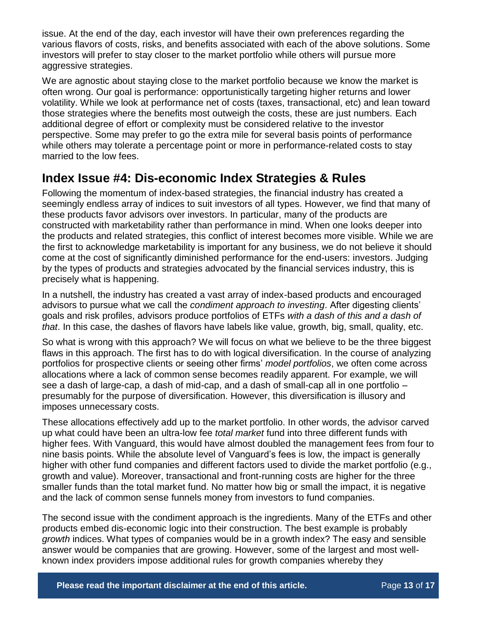issue. At the end of the day, each investor will have their own preferences regarding the various flavors of costs, risks, and benefits associated with each of the above solutions. Some investors will prefer to stay closer to the market portfolio while others will pursue more aggressive strategies.

We are agnostic about staying close to the market portfolio because we know the market is often wrong. Our goal is performance: opportunistically targeting higher returns and lower volatility. While we look at performance net of costs (taxes, transactional, etc) and lean toward those strategies where the benefits most outweigh the costs, these are just numbers. Each additional degree of effort or complexity must be considered relative to the investor perspective. Some may prefer to go the extra mile for several basis points of performance while others may tolerate a percentage point or more in performance-related costs to stay married to the low fees.

### **Index Issue #4: Dis-economic Index Strategies & Rules**

Following the momentum of index-based strategies, the financial industry has created a seemingly endless array of indices to suit investors of all types. However, we find that many of these products favor advisors over investors. In particular, many of the products are constructed with marketability rather than performance in mind. When one looks deeper into the products and related strategies, this conflict of interest becomes more visible. While we are the first to acknowledge marketability is important for any business, we do not believe it should come at the cost of significantly diminished performance for the end-users: investors. Judging by the types of products and strategies advocated by the financial services industry, this is precisely what is happening.

In a nutshell, the industry has created a vast array of index-based products and encouraged advisors to pursue what we call the *condiment approach to investing*. After digesting clients' goals and risk profiles, advisors produce portfolios of ETFs *with a dash of this and a dash of that*. In this case, the dashes of flavors have labels like value, growth, big, small, quality, etc.

So what is wrong with this approach? We will focus on what we believe to be the three biggest flaws in this approach. The first has to do with logical diversification. In the course of analyzing portfolios for prospective clients or seeing other firms' *model portfolios*, we often come across allocations where a lack of common sense becomes readily apparent. For example, we will see a dash of large-cap, a dash of mid-cap, and a dash of small-cap all in one portfolio – presumably for the purpose of diversification. However, this diversification is illusory and imposes unnecessary costs.

These allocations effectively add up to the market portfolio. In other words, the advisor carved up what could have been an ultra-low fee *total market* fund into three different funds with higher fees. With Vanguard, this would have almost doubled the management fees from four to nine basis points. While the absolute level of Vanguard's fees is low, the impact is generally higher with other fund companies and different factors used to divide the market portfolio (e.g., growth and value). Moreover, transactional and front-running costs are higher for the three smaller funds than the total market fund. No matter how big or small the impact, it is negative and the lack of common sense funnels money from investors to fund companies.

The second issue with the condiment approach is the ingredients. Many of the ETFs and other products embed dis-economic logic into their construction. The best example is probably *growth* indices. What types of companies would be in a growth index? The easy and sensible answer would be companies that are growing. However, some of the largest and most wellknown index providers impose additional rules for growth companies whereby they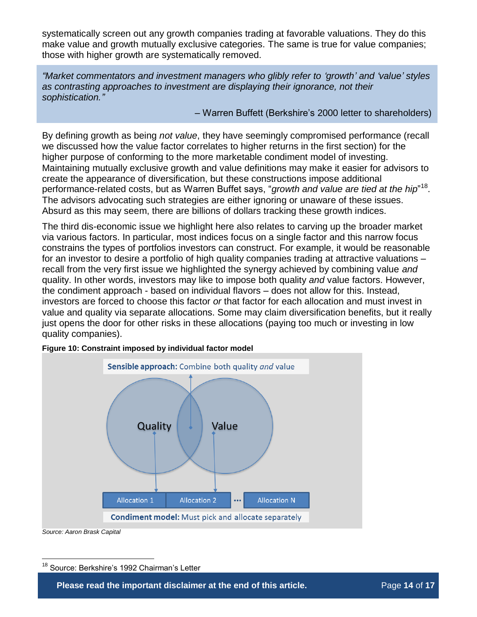systematically screen out any growth companies trading at favorable valuations. They do this make value and growth mutually exclusive categories. The same is true for value companies; those with higher growth are systematically removed.

*"Market commentators and investment managers who glibly refer to 'growth' and 'value' styles as contrasting approaches to investment are displaying their ignorance, not their sophistication."*

– Warren Buffett (Berkshire's 2000 letter to shareholders)

By defining growth as being *not value*, they have seemingly compromised performance (recall we discussed how the value factor correlates to higher returns in the first section) for the higher purpose of conforming to the more marketable condiment model of investing. Maintaining mutually exclusive growth and value definitions may make it easier for advisors to create the appearance of diversification, but these constructions impose additional performance-related costs, but as Warren Buffet says, "*growth and value are tied at the hip*"<sup>18</sup>. The advisors advocating such strategies are either ignoring or unaware of these issues. Absurd as this may seem, there are billions of dollars tracking these growth indices.

The third dis-economic issue we highlight here also relates to carving up the broader market via various factors. In particular, most indices focus on a single factor and this narrow focus constrains the types of portfolios investors can construct. For example, it would be reasonable for an investor to desire a portfolio of high quality companies trading at attractive valuations – recall from the very first issue we highlighted the synergy achieved by combining value *and* quality. In other words, investors may like to impose both quality *and* value factors. However, the condiment approach - based on individual flavors – does not allow for this. Instead, investors are forced to choose this factor *or* that factor for each allocation and must invest in value and quality via separate allocations. Some may claim diversification benefits, but it really just opens the door for other risks in these allocations (paying too much or investing in low quality companies).



**Figure 10: Constraint imposed by individual factor model**

*Source: Aaron Brask Capital*

 $\overline{a}$ 

<sup>18</sup> Source: Berkshire's 1992 Chairman's Letter

**Please read the important disclaimer at the end of this article.** Page 14 of 17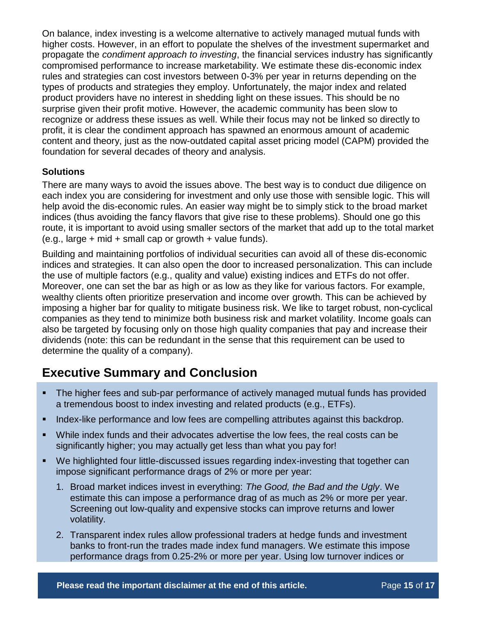On balance, index investing is a welcome alternative to actively managed mutual funds with higher costs. However, in an effort to populate the shelves of the investment supermarket and propagate the *condiment approach to investing*, the financial services industry has significantly compromised performance to increase marketability. We estimate these dis-economic index rules and strategies can cost investors between 0-3% per year in returns depending on the types of products and strategies they employ. Unfortunately, the major index and related product providers have no interest in shedding light on these issues. This should be no surprise given their profit motive. However, the academic community has been slow to recognize or address these issues as well. While their focus may not be linked so directly to profit, it is clear the condiment approach has spawned an enormous amount of academic content and theory, just as the now-outdated capital asset pricing model (CAPM) provided the foundation for several decades of theory and analysis.

### **Solutions**

There are many ways to avoid the issues above. The best way is to conduct due diligence on each index you are considering for investment and only use those with sensible logic. This will help avoid the dis-economic rules. An easier way might be to simply stick to the broad market indices (thus avoiding the fancy flavors that give rise to these problems). Should one go this route, it is important to avoid using smaller sectors of the market that add up to the total market (e.g., large  $+$  mid  $+$  small cap or growth  $+$  value funds).

Building and maintaining portfolios of individual securities can avoid all of these dis-economic indices and strategies. It can also open the door to increased personalization. This can include the use of multiple factors (e.g., quality and value) existing indices and ETFs do not offer. Moreover, one can set the bar as high or as low as they like for various factors. For example, wealthy clients often prioritize preservation and income over growth. This can be achieved by imposing a higher bar for quality to mitigate business risk. We like to target robust, non-cyclical companies as they tend to minimize both business risk and market volatility. Income goals can also be targeted by focusing only on those high quality companies that pay and increase their dividends (note: this can be redundant in the sense that this requirement can be used to determine the quality of a company).

# **Executive Summary and Conclusion**

- The higher fees and sub-par performance of actively managed mutual funds has provided a tremendous boost to index investing and related products (e.g., ETFs).
- Index-like performance and low fees are compelling attributes against this backdrop.
- While index funds and their advocates advertise the low fees, the real costs can be significantly higher; you may actually get less than what you pay for!
- We highlighted four little-discussed issues regarding index-investing that together can impose significant performance drags of 2% or more per year:
	- 1. Broad market indices invest in everything: *The Good, the Bad and the Ugly*. We estimate this can impose a performance drag of as much as 2% or more per year. Screening out low-quality and expensive stocks can improve returns and lower volatility.
	- 2. Transparent index rules allow professional traders at hedge funds and investment banks to front-run the trades made index fund managers. We estimate this impose performance drags from 0.25-2% or more per year. Using low turnover indices or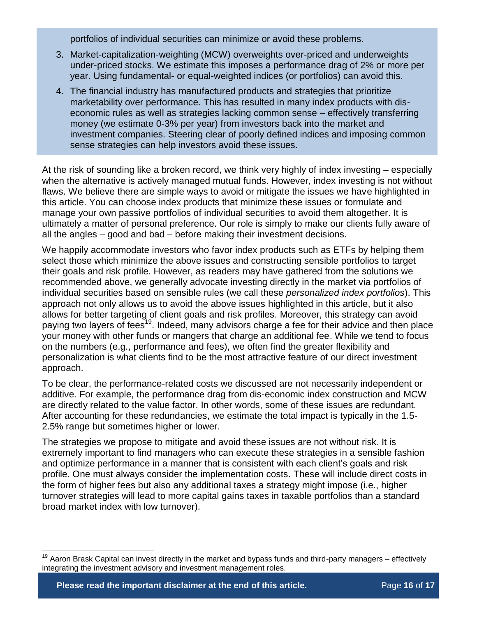portfolios of individual securities can minimize or avoid these problems.

- 3. Market-capitalization-weighting (MCW) overweights over-priced and underweights under-priced stocks. We estimate this imposes a performance drag of 2% or more per year. Using fundamental- or equal-weighted indices (or portfolios) can avoid this.
- 4. The financial industry has manufactured products and strategies that prioritize marketability over performance. This has resulted in many index products with diseconomic rules as well as strategies lacking common sense – effectively transferring money (we estimate 0-3% per year) from investors back into the market and investment companies. Steering clear of poorly defined indices and imposing common sense strategies can help investors avoid these issues.

At the risk of sounding like a broken record, we think very highly of index investing – especially when the alternative is actively managed mutual funds. However, index investing is not without flaws. We believe there are simple ways to avoid or mitigate the issues we have highlighted in this article. You can choose index products that minimize these issues or formulate and manage your own passive portfolios of individual securities to avoid them altogether. It is ultimately a matter of personal preference. Our role is simply to make our clients fully aware of all the angles – good and bad – before making their investment decisions.

We happily accommodate investors who favor index products such as ETFs by helping them select those which minimize the above issues and constructing sensible portfolios to target their goals and risk profile. However, as readers may have gathered from the solutions we recommended above, we generally advocate investing directly in the market via portfolios of individual securities based on sensible rules (we call these *personalized index portfolios*). This approach not only allows us to avoid the above issues highlighted in this article, but it also allows for better targeting of client goals and risk profiles. Moreover, this strategy can avoid paying two layers of fees<sup>19</sup>. Indeed, many advisors charge a fee for their advice and then place your money with other funds or mangers that charge an additional fee. While we tend to focus on the numbers (e.g., performance and fees), we often find the greater flexibility and personalization is what clients find to be the most attractive feature of our direct investment approach.

To be clear, the performance-related costs we discussed are not necessarily independent or additive. For example, the performance drag from dis-economic index construction and MCW are directly related to the value factor. In other words, some of these issues are redundant. After accounting for these redundancies, we estimate the total impact is typically in the 1.5- 2.5% range but sometimes higher or lower.

The strategies we propose to mitigate and avoid these issues are not without risk. It is extremely important to find managers who can execute these strategies in a sensible fashion and optimize performance in a manner that is consistent with each client's goals and risk profile. One must always consider the implementation costs. These will include direct costs in the form of higher fees but also any additional taxes a strategy might impose (i.e., higher turnover strategies will lead to more capital gains taxes in taxable portfolios than a standard broad market index with low turnover).

 $\overline{a}$ 

 $19$  Aaron Brask Capital can invest directly in the market and bypass funds and third-party managers – effectively integrating the investment advisory and investment management roles.